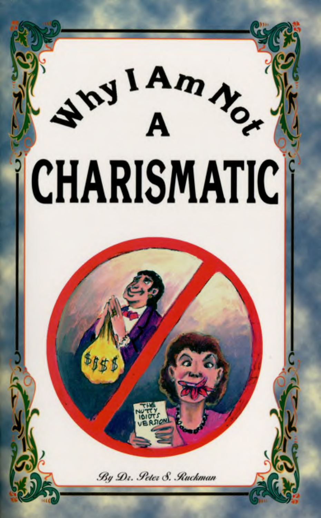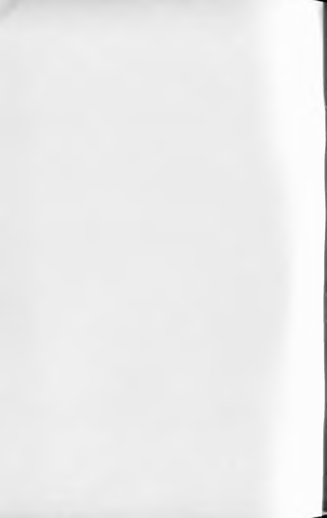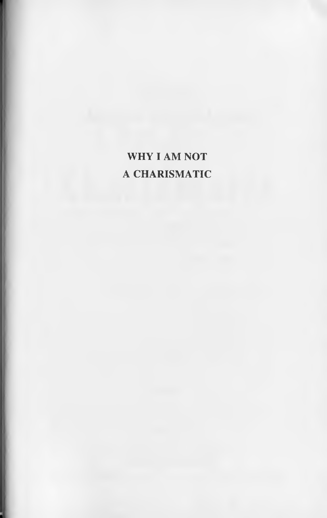# WHY I AM NOT A CHARISMATIC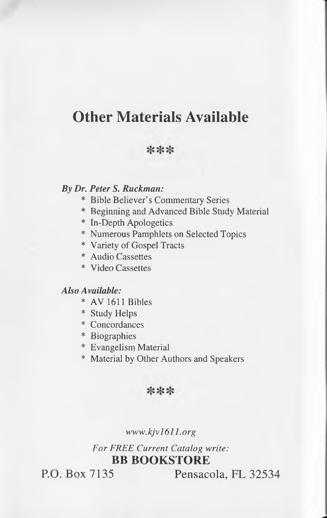## **Other Materials Available**

### \*\*\*

#### *By Dr. Peter S. Ruckman:*

- **\* Bible Believer's Commentary Series**
- **\* Beginning and Advanced Bible Study Material**
- **\* In-Depth Apologetics**
- **\* Numerous Pamphlets on Selected Topics**
- **\* Variety of Gospel Tracts**
- **\* Audio Cassettes**
- **\* Video Cassettes**

#### *Also Available:*

- **\* AV 1611 Bibles**
- **\* Study Helps**
- **\* Concordances**
- **\* Biographies**
- **\* Evangelism Material**
- **\* Material by Other Authors and Speakers**

#### \*\*\*

*[www.kjvl](http://www.kjvl611)611 .org*

*For FREE Current Catalog write:*

## **BB BOOKSTORE**

P.O. Box 7135 Pensacola, FL 32534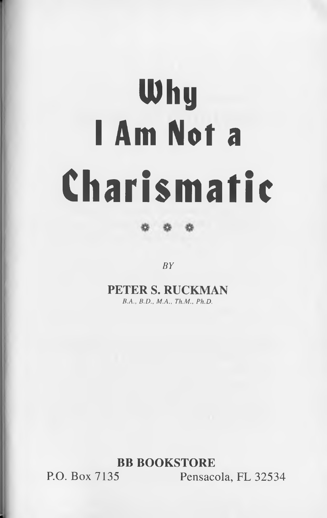# Why **I Am Not a** Charismatic

*BY*

## **PETER S. RUCKMAN**

*B.A., B.D., M .A., Th.M., Ph.D.*

**BB BOOKSTORE**<br>P.O. Box 7135 Pensace

Pensacola, FL 32534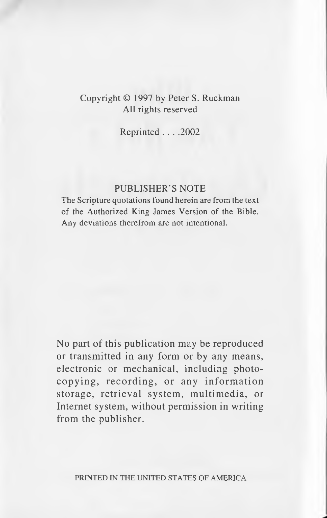## Copyright © 1997 by Peter S. Ruckman All rights reserved

R eprinted . . . .2002

#### PUBLISHER'S NOTE

The Scripture quotations found herein are from the text of the Authorized King James Version of the Bible. Any deviations therefrom are not intentional.

No part of this publication may be reproduced or transmitted in any form or by any means, electronic or mechanical, including photocopying, recording, or any information storage, retrieval system, multimedia, or Internet system, without permission in writing **from the publisher.**

PRINTED IN THE UNITED STATES OF AMERICA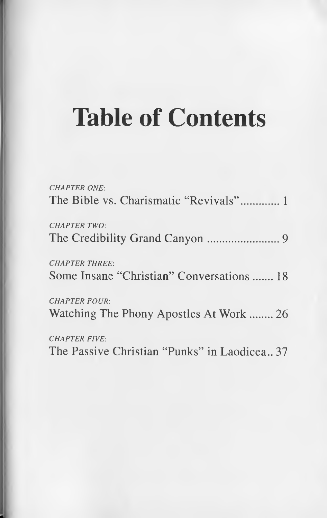# **Table of Contents**

| <b>CHAPTER ONE:</b>                         |
|---------------------------------------------|
|                                             |
| <b>CHAPTER TWO:</b>                         |
|                                             |
| <b>CHAPTER THREE:</b>                       |
| Some Insane "Christian" Conversations  18   |
| <b>CHAPTER FOUR:</b>                        |
| Watching The Phony Apostles At Work  26     |
| <b>CHAPTER FIVE:</b>                        |
| The Passive Christian "Punks" in Laodicea37 |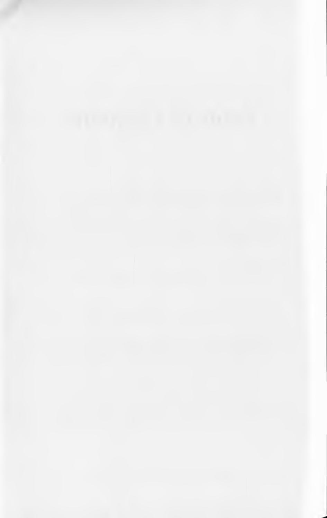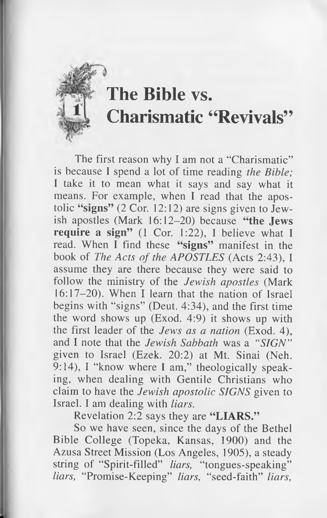<span id="page-8-0"></span>

# **The Bible vs. Charismatic "Revivals"**

The first reason why I am not a "Charismatic" is because I spend a lot of time reading *the Bible;* I take it to mean what it says and say what it means. For example, when I read that the apostolic "signs"  $(2 \text{ Cor. } 12:12)$  are signs given to Jewish apostles (Mark 16:12-20) because "the Jews require a sign" (1 Cor. 1:22), I believe what I read. When I find these "signs" manifest in the book of *The Acts of the APOSTLES* (Acts 2:43), I assume they are there because they were said to follow the ministry of the *Jewish apostles* (Mark 16:17-20). When I learn that the nation of Israel begins with "signs" (Deut. 4:34), and the first time the word shows up (Exod. 4:9) it shows up with the first leader of the *Jews as a nation* (Exod. 4), and I note that the *Jewish Sabbath* was a "SIGN" given to Israel (Ezek. 20:2) at Mt. Sinai (Neh. 9:14), I "know where I am," theologically speaking, when dealing with Gentile Christians who claim to have the *Jewish apostolic SIGNS* given to Israel. I am dealing with *liars.*

Revelation 2:2 says they are "LIARS."

So we have seen, since the days of the Bethel Bible College (Topeka, Kansas, 1900) and the Azusa Street Mission (Los Angeles, 1905), a steady string of "Spirit-filled" *liars,* "tongues-speaking" *liars,* "Promise-Keeping" *liars,* "seed-faith" *liars,*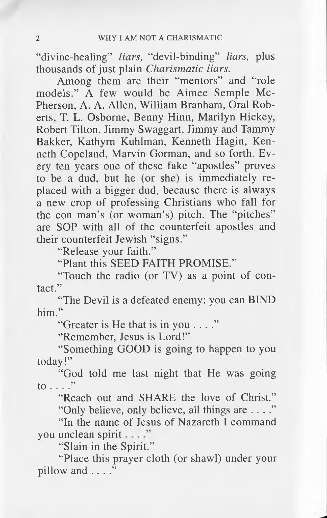"divine-healing" *liars,* "devil-binding" *liars,* plus thousands of just plain *Charismatic liars.*

Among them are their "mentors" and "role models." A few would be Aimee Semple Mc-Pherson, A. A. Allen, William Branham, Oral Roberts, T. L. Osborne, Benny Hinn, Marilyn Hickey, Robert Tilton, Jimmy Swaggart, Jimmy and Tammy Bakker, Kathyrn Kuhlman, Kenneth Hagin, Kenneth Copeland, Marvin Gorman, and so forth. Every ten years one of these fake "apostles" proves to be a dud, but he (or she) is immediately replaced with a bigger dud, because there is always a new crop of professing Christians who fall for the con man's (or woman's) pitch. The "pitches" are SOP with all of the counterfeit apostles and their counterfeit Jewish "signs."

"Release your faith."

"Plant this SEED FAITH PROMISE."

"Touch the radio (or TV) as a point of contact."

"The Devil is a defeated enemy: you can BIND him."

"Greater is He that is in you . . . ."

"Remember, Jesus is Lord!"

"Something GOOD is going to happen to you today!"

"God told me last night that He was going to  $\ldots$  ."

"Reach out and SHARE the love of Christ."

"Only believe, only believe, all things are . . . ."

"In the name of Jesus of Nazareth I command you unclean spirit

"Slain in the Spirit."

"Place this prayer cloth (or shawl) under your pillow and  $\ldots$ .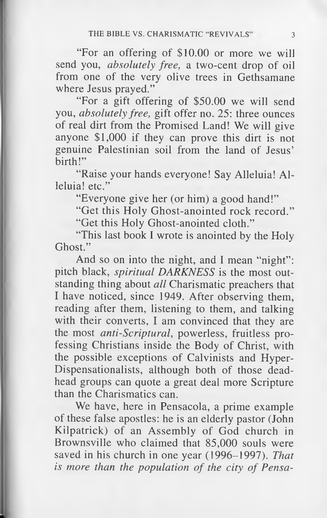"For an offering of \$10.00 or more we will send you, *absolutely free,* a two-cent drop of oil from one of the very olive trees in Gethsamane where Jesus prayed."

"For a gift offering of \$50.00 we will send you, *absolutely free,* gift offer no. 25: three ounces of real dirt from the Promised Land! We will give anyone \$1,000 if they can prove this dirt is not genuine Palestinian soil from the land of Jesus' birth!"

"Raise your hands everyone! Say Alleluia! Alleluia! etc."

"Everyone give her (or him) a good hand!"

"Get this Holy Ghost-anointed rock record." "Get this Holy Ghost-anointed cloth."

"This last book I wrote is anointed by the Holy

Ghost<sup>"</sup>

And so on into the night, and I mean "night": pitch black, *spiritual DARKNESS* is the most outstanding thing about *all* Charismatic preachers that I have noticed, since 1949. After observing them, reading after them, listening to them, and talking with their converts, I am convinced that they are the most *anti-Scriptural,* powerless, fruitless professing Christians inside the Body of Christ, with the possible exceptions of Calvinists and Hyper-Dispensationalists, although both of those deadhead groups can quote a great deal more Scripture than the Charismatics can.

We have, here in Pensacola, a prime example of these false apostles: he is an elderly pastor (John Kilpatrick) of an Assembly of God church in Brownsville who claimed that 85,000 souls were saved in his church in one year (1996-1997). *That is more than the population of the city of Pensa-*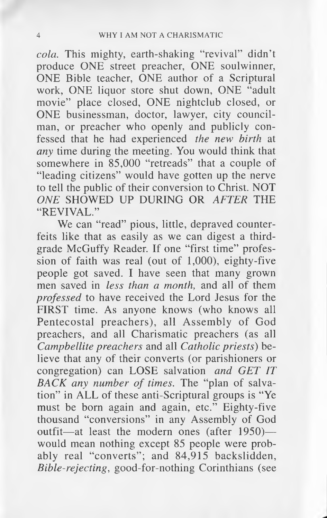*cola.* This mighty, earth-shaking "revival" didn't produce ONE street preacher, ONE soulwinner, ONE Bible teacher, ONE author of a Scriptural work, ONE liquor store shut down, ONE "adult movie" place closed, ONE nightclub closed, or ONE businessman, doctor, lawyer, city councilman, or preacher who openly and publicly confessed that he had experienced *the new birth* at *any* time during the meeting. You would think that somewhere in 85,000 "retreads" that a couple of "leading citizens" would have gotten up the nerve to tell the public of their conversion to Christ. NOT *ONE* SHOWED UP DURING OR *AFTER* THE "REVIVAL."

We can "read" pious, little, depraved counterfeits like that as easily as we can digest a thirdgrade McGuffy Reader. If one "first time" profession of faith was real (out of 1,000), eighty-five people got saved. I have seen that many grown men saved in *less than a month,* and all of them *professed* to have received the Lord Jesus for the FIRST time. As anyone knows (who knows all Pentecostal preachers), all Assembly of God preachers, and all Charismatic preachers (as all *Campbellite preachers* and all *Catholic priests*) believe that any of their converts (or parishioners or congregation) can LOSE salvation *and GET IT BACK any number of times. The "plan of salva*tion" in ALL of these anti-Scriptural groups is "Ye must be born again and again, etc." Eighty-five thousand "conversions" in any Assembly of God outfit— at least the modern ones (after 1950) would mean nothing except 85 people were probably real "converts"; and 84,915 backslidden, *Bible-rejecting,* good-for-nothing Corinthians (see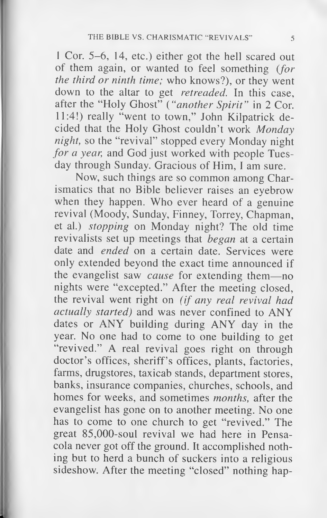1 Cor. 5-6, 14, etc.) either got the hell scared out of them again, or wanted to feel something *(for the third or ninth time;* who knows?), or they went down to the altar to get *retreaded.* In this case, after the "Holy Ghost" ( "*another Spirit"* in 2 Cor. 11:4!) really "went to town," John Kilpatrick decided that the Holy Ghost couldn't work *Monday night,* so the "revival" stopped every Monday night *for a year*, and God just worked with people Tuesday through Sunday. Gracious of Him, I am sure.

Now, such things are so common among Charismatics that no Bible believer raises an eyebrow when they happen. Who ever heard of a genuine revival (Moody, Sunday, Finney, Torrey, Chapman, et al.) *stopping* on Monday night? The old time revivalists set up meetings that *began* at a certain date and *ended* on a certain date. Services were only extended beyond the exact time announced if the evangelist saw *cause* for extending them—no nights were "excepted." After the meeting closed, the revival went right on *(if any real revival had actually started)* and was never confined to ANY dates or ANY building during ANY day in the year. No one had to come to one building to get "revived." A real revival goes right on through doctor's offices, sheriff's offices, plants, factories, farms, drugstores, taxicab stands, department stores, banks, insurance companies, churches, schools, and homes for weeks, and sometimes *months,* after the evangelist has gone on to another meeting. No one has to come to one church to get "revived." The great 85,000-soul revival we had here in Pensacola never got off the ground. It accomplished nothing but to herd a bunch of suckers into a religious sideshow. After the meeting "closed" nothing hap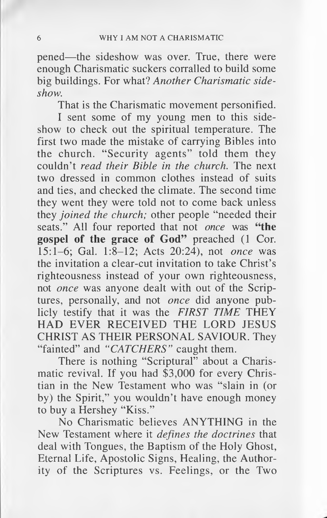pened— the sideshow was over. True, there were enough Charismatic suckers corralled to build some big buildings. For what? *Another Charismatic sideshow.*

That is the Charismatic movement personified.

I sent some of my young men to this sideshow to check out the spiritual temperature. The first two made the mistake of carrying Bibles into the church. "Security agents" told them they couldn't *read their Bible in the church.* The next two dressed in common clothes instead of suits and ties, and checked the climate. The second time they went they were told not to come back unless they *joined the church;* other people "needed their seats." All four reported that not *once* was "the gospel of the grace of God" preached (1 Cor. 15:1-6; Gal. 1:8-12; Acts 20:24), not *once* was the invitation a clear-cut invitation to take Christ's righteousness instead of your own righteousness, not *once* was anyone dealt with out of the Scriptures, personally, and not *once* did anyone publicly testify that it was the *FIRST TIME* THEY HAD EVER RECEIVED THE LORD JESUS CHRIST AS THEIR PERSONAL SAVIOUR. They "fainted" and "*CATCHERS"* caught them.

There is nothing "Scriptural" about a Charismatic revival. If you had \$3,000 for every Christian in the New Testament who was "slain in (or by) the Spirit," you wouldn't have enough money to buy a Hershey "Kiss."

No Charismatic believes ANYTHING in the New Testament where it *defines the doctrines* that deal with Tongues, the Baptism of the Holy Ghost, Eternal Life, Apostolic Signs, Healing, the Authority of the Scriptures vs. Feelings, or the Two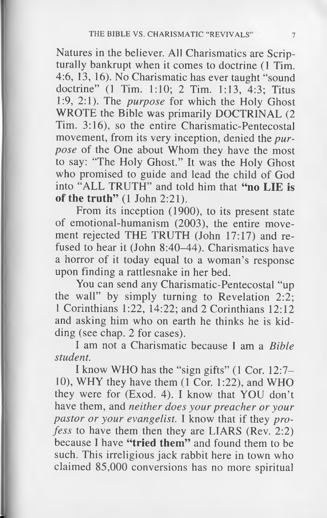Natures in the believer. All Charismatics are Scripturally bankrupt when it comes to doctrine (1 Tim. 4:6, 13, 16). No Charismatic has ever taught "sound doctrine" (1 Tim. 1:10; 2 Tim. 1:13, 4:3; Titus 1:9, 2:1). The *purpose* for which the Holy Ghost WROTE the Bible was primarily DOCTRINAL (2) Tim. 3:16), so the entire Charismatic-Pentecostal movement, from its very inception, denied the *purpose* of the One about Whom they have the most to say: "The Holy Ghost." It was the Holy Ghost who promised to guide and lead the child of God into "ALL TRUTH" and told him that "no LIE is of the truth"  $(1$  John  $2:21$ ).

From its inception (1900), to its present state of emotional-humanism (2003), the entire movement rejected THE TRUTH (John 17:17) and refused to hear it (John 8:40-44). Charismatics have a horror of it today equal to a woman's response upon finding a rattlesnake in her bed.

You can send any Charismatic-Pentecostal "up the wall" by simply turning to Revelation  $2:2$ ; 1 Corinthians 1:22, 14:22; and 2 Corinthians 12:12 and asking him who on earth he thinks he is kidding (see chap. 2 for cases).

I am not a Charismatic because I am a *Bible student.*

I know WHO has the "sign gifts" (1 Cor. 12:7— 10), WHY they have them (1 Cor. 1:22), and WHO they were for (Exod. 4). I know that YOU don't have them, and *neither does your preacher or your pastor or your evangelist.* I know that if they *profess* to have them then they are LIARS (Rev. 2:2) because I have "tried them" and found them to be such. This irreligious jack rabbit here in town who claimed 85,000 conversions has no more spiritual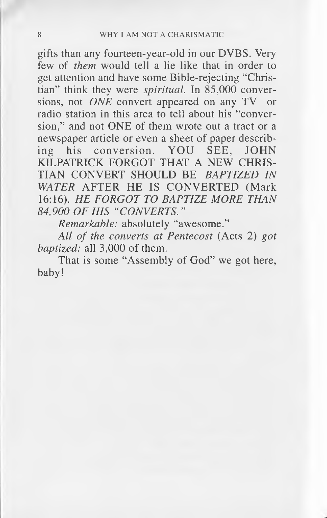gifts than any fourteen-year-old in our DVBS. Very few of *them* would tell a lie like that in order to get attention and have some Bible-rejecting "Christian" think they were *spiritual.* In 85,000 conversions, not *ONE* convert appeared on any TV or radio station in this area to tell about his "conversion," and not ONE of them wrote out a tract or a newspaper article or even a sheet of paper describ-<br>ing his conversion. YOU SEE. JOHN  $\int$ ing his conversion. YOU SEE, KILPATRICK FORGOT THAT A NEW CHRIS-TIAN CONVERT SHOULD BE *BAPTIZED IN* WATER AFTER HE IS CONVERTED (Mark 16:16). *HE FORGOT TO BAPTIZE MORE THAN 84,900 OF HIS "CONVERTS. "*

*Remarkable:* absolutely "awesome."

All of the converts at Pentecost (Acts 2) got *baptized:* all 3,000 of them.

That is some "Assembly of God" we got here, baby!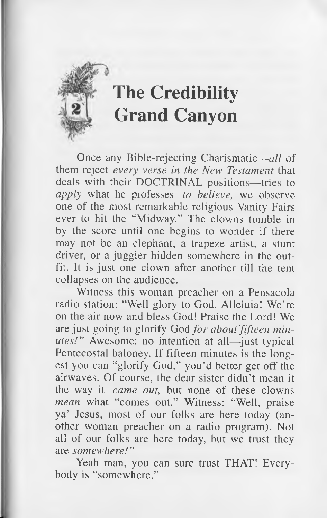

# <span id="page-16-0"></span>**The Credibility Grand Canyon**

Once any Bible-rejecting Charismatic—*all* of them reject *every verse in the New Testament* that deals with their DOCTRINAL positions— tries to *apply* what he professes *to believe,* we observe one of the most remarkable religious Vanity Fairs ever to hit the "Midway." The clowns tumble in by the score until one begins to wonder if there may not be an elephant, a trapeze artist, a stunt driver, or a juggler hidden somewhere in the outfit. It is just one clown after another till the tent collapses on the audience.

Witness this woman preacher on a Pensacola radio station: "Well glory to God, Alleluia! We're on the air now and bless God! Praise the Lord! We are just going to glorify God *for about fifteen minutes!"* Awesome: no intention at all—just typical Pentecostal baloney. If fifteen minutes is the longest you can "glorify God," you'd better get off the airwaves. Of course, the dear sister didn't mean it the way it *came out,* but none of these clowns *mean* what "comes out." Witness: "Well, praise ya' Jesus, most of our folks are here today (another woman preacher on a radio program). Not all of our folks are here today, but we trust they are *somewhere! "*

Yeah man, you can sure trust THAT! Everybody is "somewhere."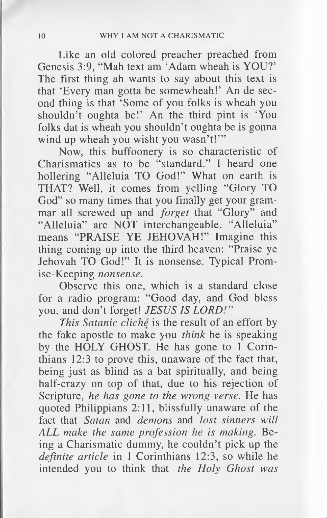Like an old colored preacher preached from Genesis 3:9, "Mah text am 'Adam wheah is YOU?' The first thing ah wants to say about this text is that 'Every man gotta be somewheah!' An de second thing is that 'Some of you folks is wheah you shouldn't oughta be!' An the third pint is 'You folks dat is wheah you shouldn't oughta be is gonna wind up wheah you wisht you wasn't!"

Now, this buffoonery is so characteristic of Charismatics as to be "standard." I heard one hollering "Alleluia TO God!" What on earth is<br>THAT? Well, it comes from yelling "Glory TO THAT? Well, it comes from yelling "Glory TO God" so many times that you finally get your grammar all screwed up and *forget* that "Glory" and "Alleluia" are NOT interchangeable. "Alleluia" means "PRAISE YE JEHOVAH!" Imagine this thing coming up into the third heaven: "Praise ye Jehovah TO God!" It is nonsense. Typical Promise-Keeping *nonsense.*

Observe this one, which is a standard close for a radio program: "Good day, and God bless you, and don't forget! *JESUS IS LORD!"*

*This Satanic cliche* is the result of an effort by the fake apostle to make you *think* he is speaking by the HOLY GHOST. He has gone to 1 Corinthians 12:3 to prove this, unaware of the fact that, being just as blind as a bat spiritually, and being half-crazy on top of that, due to his rejection of Scripture, *he has gone to the wrong verse.* He has quoted Philippians 2:11, blissfully unaware of the fact that *Satan* and *demons* and *lost sinners will ALL make the same profession he is making.* Being a Charismatic dummy, he couldn't pick up the *definite article* in 1 Corinthians 12:3, so while he intended you to think that *the Holy Ghost was*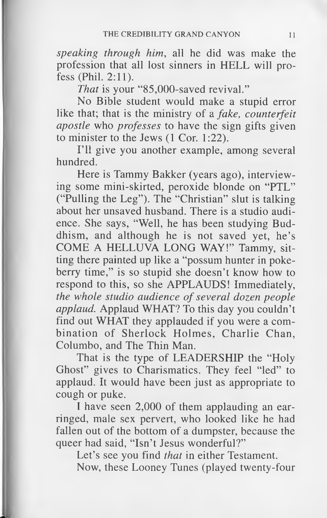*speaking through him,* all he did was make the profession that all lost sinners in HELL will profess (Phil. 2:11).

*That* is your "85,000-saved revival."

No Bible student would make a stupid error like that; that is the ministry of a *fake, counterfeit apostle* who *professes* to have the sign gifts given to minister to the Jews (1 Cor. 1:22).

I'll give you another example, among several hundred.

Here is Tammy Bakker (years ago), interviewing some mini-skirted, peroxide blonde on "PTL" ("Pulling the Leg"). The "Christian" slut is talking about her unsaved husband. There is a studio audience. She says, "Well, he has been studying Buddhism, and although he is not saved yet, he's COME A HELLUVA LONG WAY!" Tammy, sitting there painted up like a "possum hunter in pokeberry time," is so stupid she doesn't know how to respond to this, so she APPLAUDS! Immediately, the whole studio audience of several dozen people *applaud.* Applaud WHAT? To this day you couldn't find out WHAT they applauded if you were a combination of Sherlock Holmes, Charlie Chan, Columbo, and The Thin Man.

That is the type of LEADERSHIP the "Holy Ghost" gives to Charismatics. They feel "led" to applaud. It would have been just as appropriate to cough or puke.

I have seen 2,000 of them applauding an earringed, male sex pervert, who looked like he had fallen out of the bottom of a dumpster, because the queer had said, "Isn't Jesus wonderful?"

Let's see you find *that* in either Testament.

Now, these Looney Tunes (played twenty-four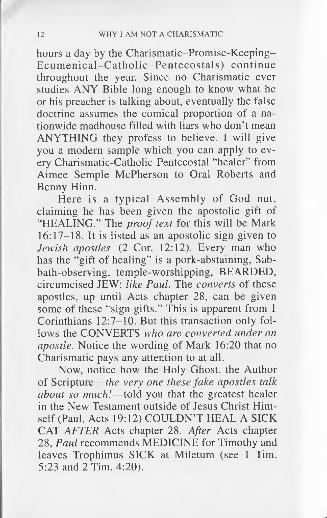hours a day by the Charismatic-Promise-Keeping-Ecumenical-Catholic-Pentecostals) continue throughout the year. Since no Charismatic ever studies ANY Bible long enough to know what he or his preacher is talking about, eventually the false doctrine assumes the comical proportion of a nationwide madhouse filled with liars who don't mean ANYTHING they profess to believe. I will give you a modern sample which you can apply to every Charismatic-Catholic-Pentecostal "healer" from Aimee Semple McPherson to Oral Roberts and Benny Hinn.

Here is a typical Assembly of God nut, claiming he has been given the apostolic gift of "HEALING." The *proof text* for this will be Mark 16:17-18. It is listed as an apostolic sign given to *Jewish apostles* (2 Cor. 12:12). Every man who has the "gift of healing" is a pork-abstaining, Sabbath-observing, temple-worshipping, BEARDED, circumcised JEW: *like Paul.* The *converts* of these apostles, up until Acts chapter 28, can be given some of these "sign gifts." This is apparent from 1 Corinthians 12:7-10. But this transaction only follows the CONVERTS *who are converted under an apostle.* Notice the wording of Mark 16:20 that no Charismatic pays any attention to at all.

Now, notice how the Holy Ghost, the Author of Scripture—*the very one these fake apostles talk about so much!*— told you that the greatest healer in the New Testament outside of Jesus Christ Himself (Paul, Acts 19:12) COULDN'T HEAL A SICK CAT *AFTER* Acts chapter 28. *After* Acts chapter 28, *Paul* recommends MEDICINE for Timothy and leaves Trophimus SICK at Miletum (see 1 Tim. 5:23 and 2 Tim. 4:20).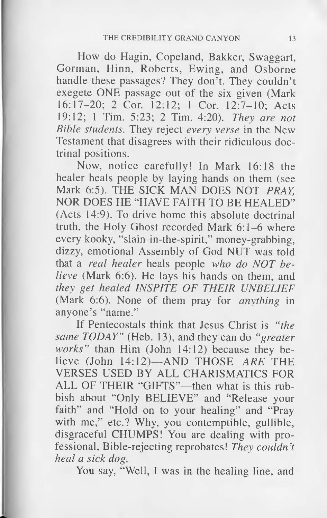How do Hagin, Copeland, Bakker, Swaggart, Gorman, Hinn, Roberts, Ewing, and Osborne handle these passages? They don't. They couldn't exegete ONE passage out of the six given (Mark 16:17-20; 2 Cor. 12:12; I Cor. 12:7-10; Acts 19:12; 1 Tim. 5:23; 2 Tim. 4:20). *They are not Bible students.* They reject *every verse* in the New Testament that disagrees with their ridiculous doctrinal positions.

Now, notice carefully! In Mark 16:18 the healer heals people by laying hands on them (see Mark 6:5). THE SICK MAN DOES NOT *PRAY,* NOR DOES HE "HAVE FAITH TO BE HEALED" (Acts 14:9). To drive home this absolute doctrinal truth, the Holy Ghost recorded Mark 6:1-6 where every kooky, "slain-in-the-spirit," money-grabbing, dizzy, emotional Assembly of God NUT was told that a *real healer* heals people *who do NOT believe* (Mark 6:6). He lays his hands on them, and *they get healed INSPITE OF THEIR UNBELIEF* (Mark 6:6). None of them pray for *anything* in anyone's "name."

If Pentecostals think that Jesus Christ is *"the same TODAY"* (Heb. 13), and they can do *"greater works"* than Him (John 14:12) because they believe (John 14:12)— AND THOSE *ARE* THE VERSES USED BY ALL CHARISMATICS FOR ALL OF THEIR "GIFTS"— then what is this rubbish about "Only BELIEVE" and "Release your faith" and "Hold on to your healing" and "Pray with me," etc.? Why, you contemptible, gullible, disgraceful CHUMPS! You are dealing with professional, Bible-rejecting reprobates! *They couldn't heal a sick dog.*

You say, "Well, I was in the healing line, and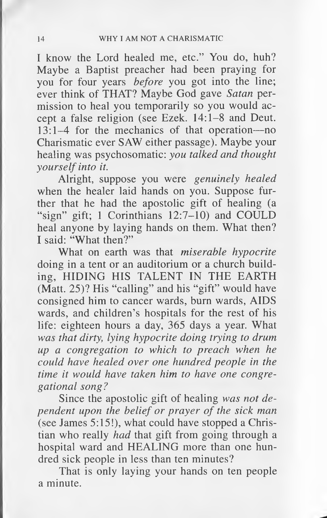I know the Lord healed me, etc." You do, huh? Maybe a Baptist preacher had been praying for you for four years *before* you got into the line; ever think of THAT? Maybe God gave *Satan* permission to heal you temporarily so you would accept a false religion (see Ezek. 14:1-8 and Deut.  $13:1-4$  for the mechanics of that operation—no Charismatic ever SAW either passage). Maybe your healing was psychosomatic: *you talked and thought yourself into it.*

Alright, suppose you were *genuinely healed* when the healer laid hands on you. Suppose further that he had the apostolic gift of healing (a "sign" gift; 1 Corinthians 12:7-10) and COULD heal anyone by laying hands on them. What then? I said: "What then?"

What on earth was that *miserable hypocrite* doing in a tent or an auditorium or a church building, HIDING HIS TALENT IN THE EARTH (Matt. 25)? His "calling" and his "gift" would have consigned him to cancer wards, burn wards, AIDS wards, and children's hospitals for the rest of his life: eighteen hours a day, 365 days a year. What *was that dirty, lying hypocrite doing trying to drum up a congregation to which to preach when he could have healed over one hundred people in the time it would have taken him to have one congregational song?*

Since the apostolic gift of healing *was not dependent upon the belief or prayer of the sick man* (see James 5:15!), what could have stopped a Christian who really *had* that gift from going through a hospital ward and HEALING more than one hundred sick people in less than ten minutes?

That is only laying your hands on ten people a minute.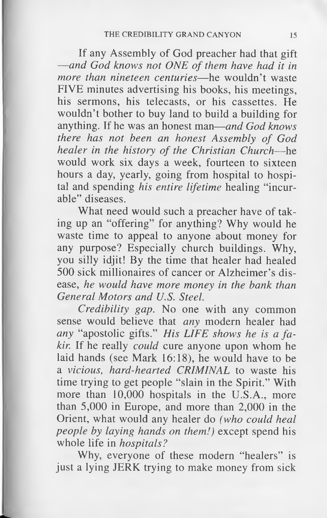If any Assembly of God preacher had that gift —and God knows not ONE of them have had it in *more than nineteen centuries*— he wouldn't waste FIVE minutes advertising his books, his meetings, his sermons, his telecasts, or his cassettes. He wouldn't bother to buy land to build a building for anything. If he was an honest man—*and God knows there has not been an honest Assembly of God healer in the history of the Christian Church*—he would work six days a week, fourteen to sixteen hours a day, yearly, going from hospital to hospital and spending *his entire lifetime* healing "incurable" diseases.

What need would such a preacher have of taking up an "offering" for anything? Why would he waste time to appeal to anyone about money for any purpose? Especially church buildings. Why, you silly idjit! By the time that healer had healed 500 sick millionaires of cancer or Alzheimer's disease, *he would have more money in the bank than General Motors and U.S. Steel.*

*Credibility gap.* No one with any common sense would believe that *any* modern healer had *any* "apostolic gifts." *His LIFE shows he is a fa kir.* If he really *could* cure anyone upon whom he laid hands (see Mark 16:18), he would have to be a *vicious, hard-hearted CRIMINAL* to waste his time trying to get people "slain in the Spirit." With more than 10,000 hospitals in the U.S.A., more than 5,000 in Europe, and more than 2,000 in the Orient, what would any healer do *(who could heal people by laying hands on them!)* except spend his whole life in *hospitals?*

Why, everyone of these modern "healers" is just a lying JERK trying to make money from sick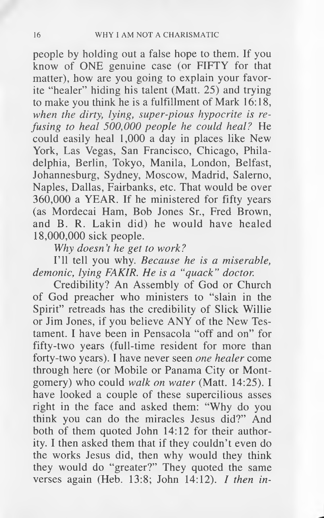people by holding out a false hope to them. If you know of ONE genuine case (or FIFTY for that matter), how are you going to explain your favorite "healer" hiding his talent (Matt. 25) and trying to make you think he is a fulfillment of Mark 16:18, *when the dirty, lying, super-pious hypocrite is refusing to heal 500,000 people he could heal?* He could easily heal 1,000 a day in places like New York, Las Vegas, San Francisco, Chicago, Philadelphia, Berlin, Tokyo, Manila, London, Belfast, Johannesburg, Sydney, Moscow, Madrid, Salerno, Naples, Dallas, Fairbanks, etc. That would be over 360,000 a YEAR. If he ministered for fifty years (as Mordecai Ham, Bob Jones Sr., Fred Brown, and B. R. Lakin did) he would have healed 18,000,000 sick people.

*Why doesn't he get to work?*

I'll tell you why. *Because he is a miserable, demonic, lying FAKIR. He is a "quack" doctor.*

Credibility? An Assembly of God or Church of God preacher who ministers to "slain in the Spirit" retreads has the credibility of Slick Willie or Jim Jones, if you believe ANY of the New Testament. I have been in Pensacola "off and on" for fifty-two years (full-time resident for more than forty-two years). I have never seen *one healer* come through here (or Mobile or Panama City or Montgomery) who could *walk on water* (Matt. 14:25). I have looked a couple of these supercilious asses right in the face and asked them: "Why do you think you can do the miracles Jesus did?" And both of them quoted John 14:12 for their authority. I then asked them that if they couldn't even do the works Jesus did, then why would they think they would do "greater?" They quoted the same verses again (Heb. 13:8; John 14:12). *I then in-*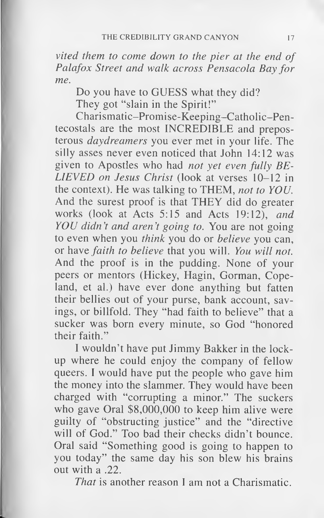*vited them to come down to the pier at the end of* Palafox Street and walk across Pensacola Bay for *me.*

Do you have to GUESS what they did?

They got "slain in the Spirit!"

Charismatic-Promise-Keeping-Catholic-Pentecostals are the most INCREDIBLE and preposterous *daydreamers* you ever met in your life. The silly asses never even noticed that John 14:12 was given to Apostles who had *not yet even fully BE-LIEVED on Jesus Christ* (look at verses 10-12 in the context). He was talking to THEM, *not to YOU.* And the surest proof is that THEY did do greater works (look at Acts 5:15 and Acts 19:12), *and YOU didn't and aren't going to.* You are not going to even when you *think* you do or *believe* you can, or have *faith to believe* that you will. *You will not.* And the proof is in the pudding. None of your peers or mentors (Hickey, Hagin, Gorman, Copeland, et al.) have ever done anything but fatten their bellies out of your purse, bank account, savings, or billfold. They "had faith to believe" that a sucker was born every minute, so God "honored their faith."

I wouldn't have put Jimmy Bakker in the lockup where he could enjoy the company of fellow queers. I would have put the people who gave him the money into the slammer. They would have been charged with "corrupting a minor." The suckers who gave Oral \$8,000,000 to keep him alive were guilty of "obstructing justice" and the "directive will of God." Too bad their checks didn't bounce. Oral said "Something good is going to happen to you today" the same day his son blew his brains out with a  $22$ .

*That* is another reason I am not a Charismatic.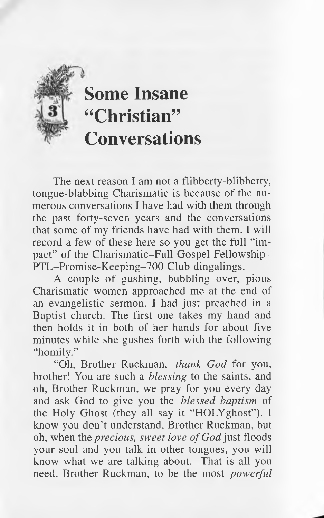<span id="page-25-0"></span>

The next reason I am not a flibberty-blibberty, tongue-blabbing Charismatic is because of the numerous conversations I have had with them through the past forty-seven years and the conversations that some of my friends have had with them. I will record a few of these here so you get the full "impact" of the Charismatic-Full Gospel Fellowship-PTL-Promise-Keeping-700 Club dingalings.

A couple of gushing, bubbling over, pious Charismatic women approached me at the end of an evangelistic sermon. I had just preached in a Baptist church. The first one takes my hand and then holds it in both of her hands for about five minutes while she gushes forth with the following "homily."

"Oh, Brother Ruckman, *thank God* for you, brother! You are such a *blessing* to the saints, and oh, Brother Ruckman, we pray for you every day and ask God to give you the *blessed baptism* of the Holy Ghost (they all say it "HOLYghost"). I know you don't understand, Brother Ruckman, but oh, when the *precious, sweet love of God* just floods your soul and you talk in other tongues, you will know what we are talking about. That is all you need, Brother Ruckman, to be the most *powerful*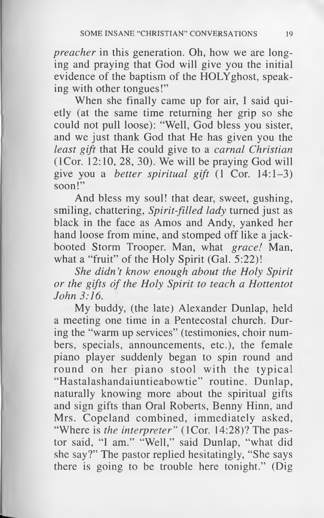*preacher* in this generation. Oh, how we are longing and praying that God will give you the initial evidence of the baptism of the HOLYghost, speaking with other tongues!"

When she finally came up for air, I said quietly (at the same time returning her grip so she could not pull loose): "Well, God bless you sister, and we just thank God that He has given you the *least gift* that He could give to a *carnal Christian* (ICor. 12:10, 28, 30). We will be praying God will give you a *better spiritual gift* (1 Cor. 14:1-3)  $\frac{1}{2}$ soon!"

And bless my soul! that dear, sweet, gushing, smiling, chattering, *Spirit-filled lady* turned just as black in the face as Amos and Andy, yanked her hand loose from mine, and stomped off like a jackbooted Storm Trooper. Man, what *grace!* Man, what a "fruit" of the Holy Spirit (Gal. 5:22)!

*She didn't know enough about the Holy Spirit or the gifts of the Holy Spirit to teach a Hottentot John 3:16. John 3:16.*

My buddy, (the late) Alexander Dunlap, held a meeting one time in a Pentecostal church. During the "warm up services" (testimonies, choir numbers, specials, announcements, etc.), the female piano player suddenly began to spin round and round on her piano stool with the typical "H astalashandaiuntieabow tie" routine. Dunlap, naturally knowing more about the spiritual gifts and sign gifts than Oral Roberts, Benny Hinn, and Mrs. Copeland combined, immediately asked, "Where is *the interpreter"* (ICor. 14:28)? The pastor said, "I am." "Well," said Dunlap, "what did she say?" The pastor replied hesitatingly, "She says there is going to be trouble here tonight." (Dig

19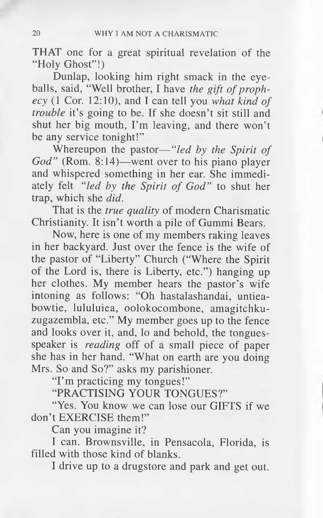THAT one for a great spiritual revelation of the "Holy Ghost"!)

Dunlap, looking him right smack in the eyeballs, said, "Well brother, I have *the gift of prophecy* (1 Cor. 12:10), and I can tell you *what kind of trouble* it's going to be. If she doesn't sit still and shut her big mouth, I'm leaving, and there won't be any service tonight!"

Whereupon the pastor—"led by the Spirit of *G od"* (Rom. 8:14)—went over to his piano player and whispered something in her ear. She immediately felt *"led by the Spirit of God"* to shut her trap, which she *did.*

That is the *true quality* of modern Charismatic Christianity. It isn't worth a pile of Gummi Bears.

Now, here is one of my members raking leaves in her backyard. Just over the fence is the wife of the pastor of "Liberty" Church ("Where the Spirit of the Lord is, there is Liberty, etc.") hanging up her clothes. My member hears the pastor's wife intoning as follows: "Oh hastalashandai, untieabowtie, lululuiea, oolokocombone, amagitchkuzugazembla, etc." My member goes up to the fence and looks over it, and, lo and behold, the tonguesspeaker is *reading* off of a small piece of paper she has in her hand. "What on earth are you doing Mrs. So and So?" asks my parishioner.

"I'm practicing my tongues!"

"PRACTISING YOUR TONGUES?"

"Yes. You know we can lose our GIFTS if we don't EXERCISE them!"

Can you imagine it?

I can. Brownsville, in Pensacola, Florida, is filled with those kind of blanks.

I drive up to a drugstore and park and get out.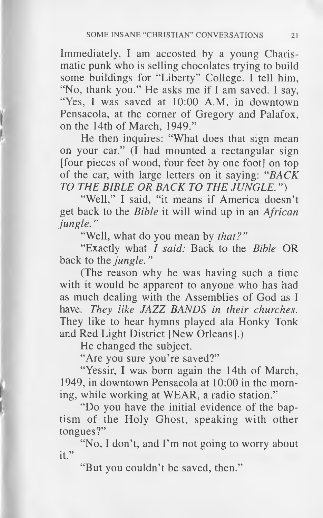Immediately, I am accosted by a young Charismatic punk who is selling chocolates trying to build some buildings for "Liberty" College. I tell him, "No, thank you." He asks me if I am saved. I say, "Yes, I was saved at 10:00 A.M. in downtown Pensacola, at the corner of Gregory and Palafox, on the 14th of March, 1949."

He then inquires: "What does that sign mean on your car." (I had mounted a rectangular sign [four pieces of wood, four feet by one foot] on top of the car, with large letters on it saying: "*BACK TO THE BIBLE OR BACK TO THE JUNGLE. ")*

"Well," I said, "it means if America doesn't get back to the *Bible* it will wind up in an *African jungle. "*

"Well, what do you mean by *that?"*

"Exactly what *I said:* Back to the *Bible* OR back to the *jungle. "*

(The reason why he was having such a time with it would be apparent to anyone who has had as much dealing with the Assemblies of God as I have. *They like JAZZ BANDS in their churches.* They like to hear hymns played ala Honky Tonk and Red Light District [New Orleans].)

He changed the subject.

"Are you sure you're saved?"

"Yessir, I was born again the 14th of March, 1949, in downtown Pensacola at 10:00 in the morning, while working at WEAR, a radio station."

"Do you have the initial evidence of the baptism of the Holy Ghost, speaking with other tongues?"

"No, 1 don't, and I'm not going to worry about it."

"But you couldn't be saved, then."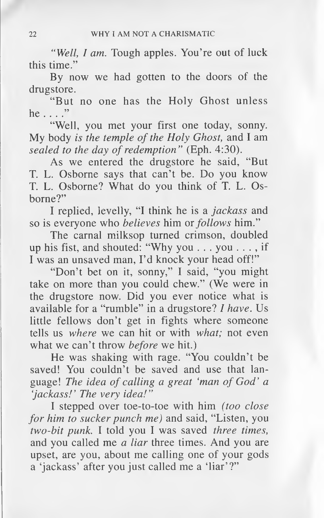*"Well, I am.* Tough apples. You're out of luck this time."

By now we had gotten to the doors of the drugstore.

"But no one has the Holy Ghost unless  $he$  . . . .

"Well, you met your first one today, sonny. My body *is the temple o f the Holy Ghost,* and I am sealed to the day of redemption" (Eph. 4:30).

As we entered the drugstore he said, "But T. L. Osborne says that can't be. Do you know T. L. Osborne? What do you think of T. L. Osborne?"

I replied, levelly, "I think he is a *jackass* and so is everyone who *believes* him or *follows* him."

The carnal milksop turned crimson, doubled up his fist, and shouted: "Why you  $\dots$  you ..., if I was an unsaved man, I'd knock your head off!"

"Don't bet on it, sonny," I said, "you might take on more than you could chew." (We were in the drugstore now. Did you ever notice what is available for a "rumble" in a drugstore? *I have.* Us little fellows don't get in fights where someone tells us *where* we can hit or with *what;* not even what we can't throw *before* we hit.)

He was shaking with rage. "You couldn't be saved! You couldn't be saved and use that language! The idea of calling a great 'man of God' a *'jackass!' The very idea!"*

I stepped over toe-to-toe with him *(too close for him to sucker punch me)* and said, "Listen, you *two-bit punk.* I told you I was saved *three times,* and you called me *a liar* three times. And you are upset, are you, about me calling one of your gods a 'jackass' after you just called me a 'liar'?"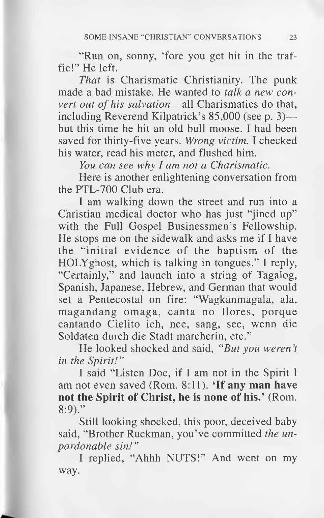"Run on, sonny, 'fore you get hit in the traffic!" He left.

*That* is Charismatic Christianity. The punk made a bad mistake. He wanted to *talk a new convert out of his salvation—all Charismatics do that,* including Reverend Kilpatrick's 85,000 (see p. 3) but this time he hit an old bull moose. I had been saved for thirty-five years. *Wrong victim.* I checked his water, read his meter, and flushed him.

*You can see why I am not a Charismatic.*

Here is another enlightening conversation from the PTL-700 Club era.

I am walking down the street and run into a Christian medical doctor who has just "jined up" with the Full Gospel Businessmen's Fellowship. He stops me on the sidewalk and asks me if I have the "initial evidence of the baptism of the HOLYghost, which is talking in tongues." I reply, "Certainly," and launch into a string of Tagalog, Spanish, Japanese, Hebrew, and German that would set a Pentecostal on fire: "Wagkanmagala, ala, m agandang om aga, canta no llores, porque cantando Cielito ich, nee, sang, see, wenn die Soldaten durch die Stadt marcherin, etc."

He looked shocked and said, "*But you weren't in the Spirit!"*

I said "Listen Doc, if I am not in the Spirit I am not even saved (Rom.  $8:11$ ). 'If any man have not the Spirit of Christ, he is none of his.' (Rom. 8:9)."

Still looking shocked, this poor, deceived baby said, "Brother Ruckman, you've committed *the unpardonable sin!"*

I replied, "Ahhh NUTS!" And went on my way.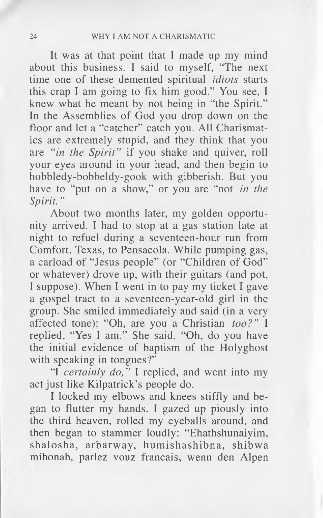It was at that point that I made up my mind about this business. I said to myself, "The next time one of these demented spiritual *idiots* starts this crap I am going to fix him good." You see, I knew what he meant by not being in "the Spirit." In the Assemblies of God you drop down on the floor and let a "catcher" catch you. All Charismatics are extremely stupid, and they think that you are *"in the Spirit"* if you shake and quiver, roll your eyes around in your head, and then begin to hobbledy-bobbeldy-gook with gibberish. But you have to "put on a show," or you are "not *in the Spirit. "*

About two months later, my golden opportunity arrived. I had to stop at a gas station late at night to refuel during a seventeen-hour run from Comfort, Texas, to Pensacola. While pumping gas, a carload of "Jesus people" (or "Children of God" or whatever) drove up, with their guitars (and pot, I suppose). When I went in to pay my ticket I gave a gospel tract to a seventeen-year-old girl in the group. She smiled immediately and said (in a very affected tone): "Oh, are you a Christian *too?"* I replied, "Yes I am." She said, "Oh, do you have the initial evidence of baptism of the Holyghost with speaking in tongues?"

"I *certainly do, "* I replied, and went into my act just like Kilpatrick's people do.

I locked my elbows and knees stiffly and began to flutter my hands. I gazed up piously into the third heaven, rolled my eyeballs around, and then began to stammer loudly: "Ehathshunaiyim, shalosha, arbarway, humishashibna, shibwa mihonah, parlez vouz francais, wenn den Alpen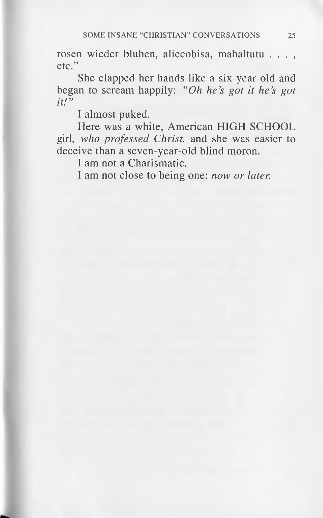rosen wieder bluhen, aliecobisa, mahaltutu . etc."

She clapped her hands like a six-year-old and began to scream happily: "Oh he's got it he's got *it!"*

I almost puked.

Here was a white, American HIGH SCHOOL girl, *who professed Christ,* and she was easier to deceive than a seven-year-old blind moron.

I am not a Charismatic.

I am not close to being one: *now or later.*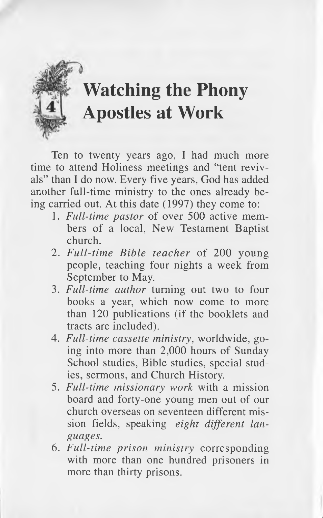<span id="page-33-0"></span>

Ten to twenty years ago, I had much more time to attend Holiness meetings and "tent revivals" than I do now. Every five years, God has added another full-time ministry to the ones already being carried out. At this date (1997) they come to:

- 1. *Full-time pastor* of over 500 active members of a local, New Testament Baptist church.
- 2. *Full-time Bible teacher* of 200 young people, teaching four nights a week from September to May.
- 3. *Full-time author* turning out two to four books a year, which now come to more than 120 publications (if the booklets and tracts are included).
- 4. *Full-time cassette ministry,* worldwide, going into more than 2,000 hours of Sunday School studies, Bible studies, special studies, sermons, and Church History.
- 5. *Full-time missionary work* with a mission board and forty-one young men out of our church overseas on seventeen different mission fields, speaking *eight different languages.*
- 6. *Full-time prison ministry* corresponding with more than one hundred prisoners in more than thirty prisons.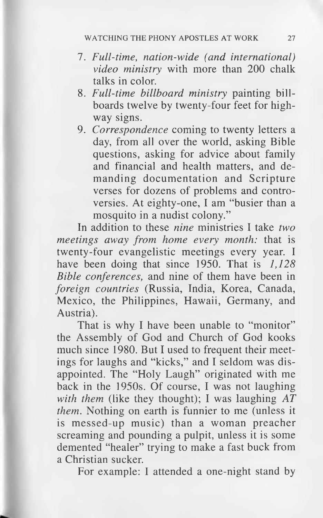- 7. *Full-time, nation-wide (and international) video ministry* with more than 200 chalk talks in color.
- 8. *Full-time billboard ministry* painting billboards twelve by twenty-four feet for highway signs.
- 9. *Correspondence* coming to twenty letters a day, from all over the world, asking Bible questions, asking for advice about family and financial and health matters, and demanding documentation and Scripture verses for dozens of problems and controversies. At eighty-one, I am "busier than a mosquito in a nudist colony."

In addition to these *nine* ministries I take *two meetings away from home every month:* that is twenty-four evangelistic meetings every year. I have been doing that since 1950. That is *1,128 Bible conferences,* and nine of them have been in *foreign countries* (Russia, India, Korea, Canada, Mexico, the Philippines, Hawaii, Germany, and Austria).

That is why I have been unable to "monitor" the Assembly of God and Church of God kooks much since 1980. But I used to frequent their meetings for laughs and "kicks," and I seldom was disappointed. The "Holy Laugh" originated with me back in the 1950s. Of course, I was not laughing *with them* (like they thought); I was laughing *AT them.* Nothing on earth is funnier to me (unless it is messed-up music) than a woman preacher screaming and pounding a pulpit, unless it is some demented "healer" trying to make a fast buck from a Christian sucker.

For example: I attended a one-night stand by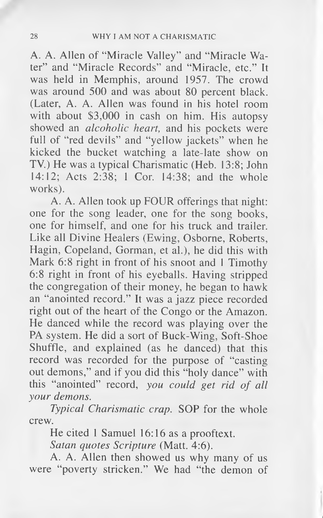A. A. Allen of "Miracle Valley" and "Miracle Water" and "Miracle Records" and "Miracle, etc." It was held in Memphis, around 1957. The crowd was around 500 and was about 80 percent black. (Later, A. A. Allen was found in his hotel room with about \$3,000 in cash on him. His autopsy showed an *alcoholic heart,* and his pockets were full of "red devils" and "yellow jackets" when he kicked the bucket watching a late-late show on TV.) He was a typical Charismatic (Heb. 13:8; John 14:12; Acts 2:38; 1 Cor. 14:38; and the whole works).

A. A. Allen took up FOUR offerings that night: one for the song leader, one for the song books, one for himself, and one for his truck and trailer. Like all Divine Healers (Ewing, Osborne, Roberts, Hagin, Copeland, Gorman, et al.), he did this with Mark 6:8 right in front of his snoot and 1 Timothy 6:8 right in front of his eyeballs. Having stripped the congregation of their money, he began to hawk an "anointed record." It was a jazz piece recorded right out of the heart of the Congo or the Amazon. He danced while the record was playing over the PA system. He did a sort of Buck-Wing, Soft-Shoe Shuffle, and explained (as he danced) that this record was recorded for the purpose of "casting out demons," and if you did this "holy dance" with this "anointed" record, you could get rid of all *your demons.*

*Typical Charismatic crap.* SOP for the whole crew.

He cited 1 Samuel 16:16 as a prooftext.

*Satan quotes Scripture* (Matt. 4:6).

A. A. Allen then showed us why many of us were "poverty stricken." We had "the demon of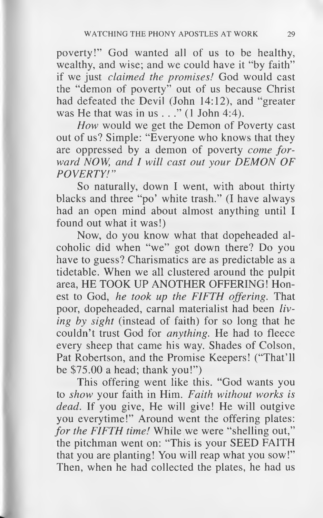poverty!" God wanted all of us to be healthy, wealthy, and wise; and we could have it "by faith" if we just *claimed the promises!* God would cast the "demon of poverty" out of us because Christ had defeated the Devil (John 14:12), and "greater was He that was in us  $\ldots$  " (1 John 4:4).

*How* would we get the Demon of Poverty cast out of us? Simple: "Everyone who knows that they are oppressed by a demon of poverty *come forward NOW, and I will cast out your DEMON OF POVERTY!"*

So naturally, down I went, with about thirty blacks and three "po' white trash." (I have always had an open mind about almost anything until I found out what it was!)

Now, do you know what that dopeheaded alcoholic did when "we" got down there? Do you have to guess? Charismatics are as predictable as a tidetable. When we all clustered around the pulpit area, HE TOOK UP ANOTHER OFFERING! Honest to God, *he took up the FIFTH offering.* That poor, dopeheaded, carnal materialist had been *living by sight* (instead of faith) for so long that he couldn't trust God for *anything.* He had to fleece every sheep that came his way. Shades of Colson, Pat Robertson, and the Promise Keepers! ("That'll be \$75.00 a head; thank you!")

This offering went like this. "God wants you to *show* your faith in Him. *Faith without works is dead.* If you give, He will give! He will outgive you everytime!" Around went the offering plates: *for the FIFTH time!* While we were "shelling out," the pitchman went on: "This is your SEED FAITH that you are planting! You will reap what you sow!" Then, when he had collected the plates, he had us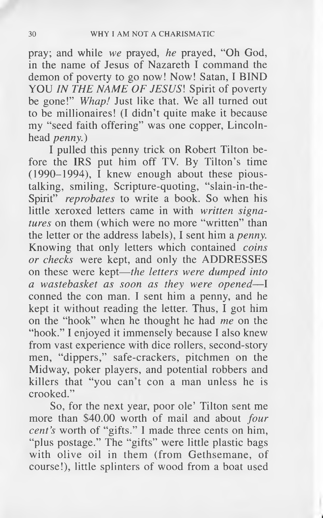pray; and while *we* prayed, *he* prayed, "Oh God, in the name of Jesus of Nazareth I command the demon of poverty to go now! Now! Satan, I BIND YOU *IN THE NAME OF JESUS!* Spirit of poverty be gone!" *Whap!* Just like that. We all turned out to be millionaires! (I didn't quite make it because my "seed faith offering" was one copper, Lincolnhead *penny.)*

I pulled this penny trick on Robert Tilton before the IRS put him off TV. By Tilton's time  $(1990-1994)$ , I knew enough about these pioustalking, smiling, Scripture-quoting, "slain-in-the-Spirit" *reprobates* to write a book. So when his little xeroxed letters came in with *written signatures* on them (which were no more "written" than the letter or the address labels), I sent him a *penny.* Knowing that only letters which contained *coins or checks* were kept, and only the ADDRESSES on these were kept—*the letters were dumped into a wastebasket as soon as they were opened*— I conned the con man. I sent him a penny, and he kept it without reading the letter. Thus, I got him on the "hook" when he thought he had *me* on the "hook." I enjoyed it immensely because I also knew from vast experience with dice rollers, second-story men, "dippers," safe-crackers, pitchmen on the Midway, poker players, and potential robbers and killers that "you can't con a man unless he is crooked."

So, for the next year, poor ole' Tilton sent me more than \$40.00 worth of mail and about *four cent's* worth of "gifts." I made three cents on him, "plus postage." The "gifts" were little plastic bags with olive oil in them (from Gethsemane, of course!), little splinters of wood from a boat used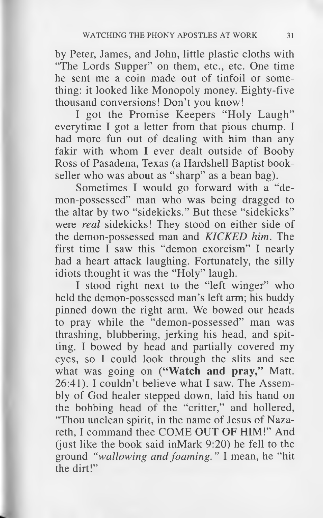by Peter, James, and John, little plastic cloths with "The Lords Supper" on them, etc., etc. One time he sent me a coin made out of tinfoil or something: it looked like Monopoly money. Eighty-five thousand conversions! Don't you know!

I got the Promise Keepers "Holy Laugh" every time I got a letter from that pious chump. I had more fun out of dealing with him than any fakir with whom I ever dealt outside of Booby Ross of Pasadena, Texas (a Hardshell Baptist bookseller who was about as "sharp" as a bean bag).

Sometimes I would go forward with a "demon-possessed" man who was being dragged to the altar by two "sidekicks." But these "sidekicks" were *real* sidekicks! They stood on either side of the demon-possessed man and *KICKED him.* The first time I saw this "demon exorcism" I nearly had a heart attack laughing. Fortunately, the silly idiots thought it was the "Holy" laugh.

I stood right next to the "left winger" who held the demon-possessed man's left arm; his buddy pinned down the right arm. We bowed our heads to pray while the "demon-possessed" man was thrashing, blubbering, jerking his head, and spitting. I bowed by head and partially covered my eyes, so I could look through the slits and see what was going on ("Watch and pray," Matt. 26:41). I couldn't believe what I saw. The Assembly of God healer stepped down, laid his hand on the bobbing head of the "critter," and hollered, "Thou unclean spirit, in the name of Jesus of Nazareth, I command thee COME OUT OF HIM!" And (just like the book said inMark 9:20) he fell to the ground *"wallowing and foam ing."* I mean, he "hit the dirt!"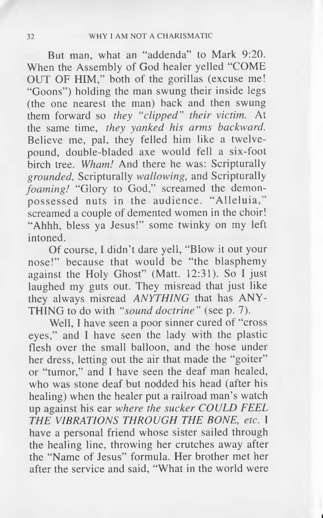But man, what an "addenda" to Mark 9:20. When the Assembly of God healer yelled "COME OUT OF HIM," both of the gorillas (excuse me! "Goons") holding the man swung their inside legs (the one nearest the man) back and then swung them forward so *they "clipped" their victim.* At the same time, *they yanked his arms backward.* Believe me, pal, they felled him like a twelvepound, double-bladed axe would fell a six-foot birch tree. *Wham!* And there he was: Scripturally *grounded,* Scripturally *wallowing,* and Scripturally *foaming!* "Glory to God," screamed the demonpossessed nuts in the audience. "Alleluia," screamed a couple of demented women in the choir! "Ahhh, bless ya Jesus!" some twinky on my left intoned.

Of course, I didn't dare yell, "Blow it out your nose!" because that would be "the blasphemy against the Holy Ghost" (Matt. 12:31). So I just laughed my guts out. They misread that just like they always misread *ANYTHING* that has ANY-THING to do with *"sound doctrine"* (see p. 7).

Well. I have seen a poor sinner cured of "cross" eyes," and I have seen the lady with the plastic flesh over the small balloon, and the hose under her dress, letting out the air that made the "goiter" or "tumor," and I have seen the deaf man healed, who was stone deaf but nodded his head (after his healing) when the healer put a railroad man's watch up against his ear *where the sucker COULD FEEL THE VIBRATIONS THROUGH THE BONE, etc.* I have a personal friend whose sister sailed through the healing line, throwing her crutches away after the "Name of Jesus" formula. Her brother met her after the service and said, "What in the world were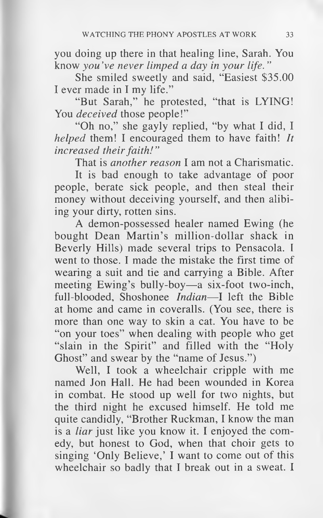you doing up there in that healing line, Sarah. You know *you 've never limped a day in your life.* "

She smiled sweetly and said, "Easiest \$35.00 I ever made in I my life."

"But Sarah," he protested, "that is LYING! You *deceived* those people!"

"Oh no," she gayly replied, "by what I did, I *helped* them! I encouraged them to have faith! *It increased their faith! "*

That is *another reason* I am not a Charismatic.

It is bad enough to take advantage of poor people, berate sick people, and then steal their money without deceiving yourself, and then alibiing your dirty, rotten sins.

A demon-possessed healer named Ewing (he bought Dean Martin's million-dollar shack in Beverly Hills) made several trips to Pensacola. I went to those. I made the mistake the first time of wearing a suit and tie and carrying a Bible. After meeting Ewing's bully-boy—a six-foot two-inch, full-blooded, Shoshonee *Indian*—I left the Bible at home and came in coveralls. (You see, there is more than one way to skin a cat. You have to be "on your toes" when dealing with people who get "slain in the Spirit" and filled with the "Holy Ghost" and swear by the "name of Jesus.")

Well, I took a wheelchair cripple with me named Jon Hall. He had been wounded in Korea in combat. He stood up well for two nights, but the third night he excused himself. He told me quite candidly, "Brother Ruckman, I know the man is a *liar* just like you know it. I enjoyed the comedy, but honest to God, when that choir gets to singing 'Only Believe,' I want to come out of this wheelchair so badly that I break out in a sweat. I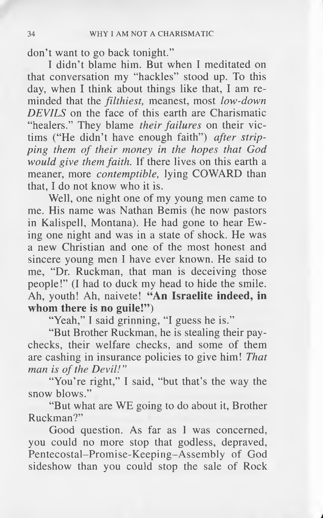don't want to go back tonight."

I didn't blame him. But when I meditated on that conversation my "hackles" stood up. To this day, when I think about things like that, I am reminded that the *filthiest,* meanest, most *low-down DEVILS* on the face of this earth are Charismatic "healers." They blame *their failures* on their victims ("He didn't have enough faith") *after stripping them of their money in the hopes that God would give them faith.* If there lives on this earth a meaner, more *contemptible,* lying COWARD than that, I do not know who it is.

Well, one night one of my young men came to me. His name was Nathan Bemis (he now pastors in Kalispell, Montana). He had gone to hear Ewing one night and was in a state of shock. He was a new Christian and one of the most honest and sincere young men I have ever known. He said to me, "Dr. Ruckman, that man is deceiving those people!" (I had to duck my head to hide the smile. Ah, youth! Ah, naivete! "An Israelite indeed, in whom there is no guile!" $)$ 

"Yeah," I said grinning, "I guess he is."

"But Brother Ruckman, he is stealing their paychecks, their welfare checks, and some of them are cashing in insurance policies to give him! *That man is of the Devil!"* 

"You're right," I said, "but that's the way the snow blows."

"But what are WE going to do about it, Brother Ruckman?"

Good question. As far as I was concerned, you could no more stop that godless, depraved, Pentecostal-Promise-Keeping-Assembly of God sideshow than you could stop the sale of Rock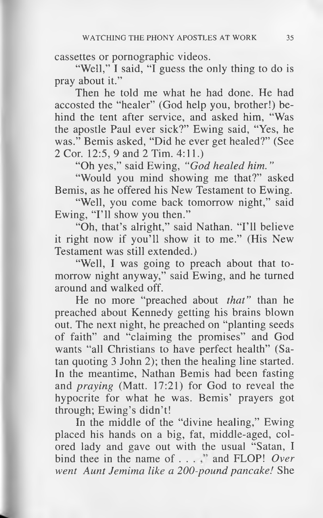cassettes or pornographic videos.

"Well," I said, "I guess the only thing to do is pray about it."

Then he told me what he had done. He had accosted the "healer" (God help you, brother!) behind the tent after service, and asked him, "Was the apostle Paul ever sick?" Ewing said, "Yes, he was." Bemis asked, "Did he ever get healed?" (See 2 Cor. 12:5, 9 and 2 Tim. 4:11.)

"Oh yes," said Ewing, *"God healed him. "*

"Would you mind showing me that?" asked Bemis, as he offered his New Testament to Ewing.

"Well, you come back tomorrow night," said Ewing, "I'll show you then."

"Oh, that's alright," said Nathan. "I'll believe it right now if you'll show it to me." (His New Testament was still extended.)

"Well, I was going to preach about that tomorrow night anyway," said Ewing, and he turned around and walked off.

He no more "preached about *that"* than he preached about Kennedy getting his brains blown out. The next night, he preached on "planting seeds of faith" and "claiming the promises" and God wants "all Christians to have perfect health" (Satan quoting 3 John 2); then the healing line started. In the meantime, Nathan Bemis had been fasting and *praying* (Matt. 17:21) for God to reveal the hypocrite for what he was. Bemis' prayers got through; Ewing's didn't!

In the middle of the "divine healing," Ewing placed his hands on a big, fat, middle-aged, colored lady and gave out with the usual "Satan, I bind thee in the name of . . . ," and FLOP! *Over went Aunt Jemima like a 200-pound pancake!* She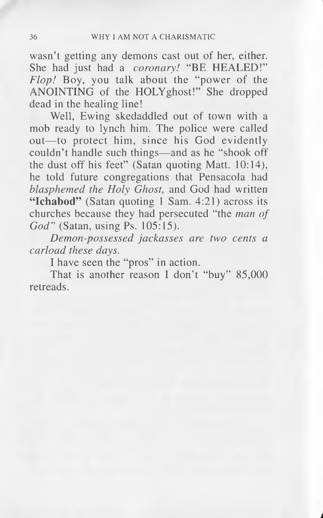wasn't getting any demons cast out of her, either. She had just had a *coronary!* "BE HEALED!" *Flop!* Boy, you talk about the "power of the ANOINTING of the HOLYghost!" She dropped dead in the healing line!

Well, Ewing skedaddled out of town with a mob ready to lynch him. The police were called out— to protect him, since his God evidently couldn't handle such things— and as he "shook off the dust off his feet" (Satan quoting Matt. 10:14), he told future congregations that Pensacola had *blasphemed the Holy Ghost,* and God had written "Ichabod" (Satan quoting 1 Sam. 4:21) across its churches because they had persecuted "the *man of God"* (Satan, using Ps. 105:15).

*Demon-possessed jackasses are two cents a carload these days.*

I have seen the "pros" in action.

That is another reason I don't "buy" 85,000 retreads.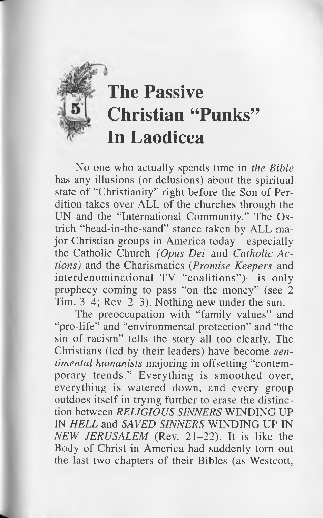<span id="page-44-0"></span>

# **The Passive Christian "Punks" In Laodicea**

No one who actually spends time in *the Bible* has any illusions (or delusions) about the spiritual state of "Christianity" right before the Son of Perdition takes over ALL of the churches through the UN and the "International Community." The Ostrich "head-in-the-sand" stance taken by ALL major Christian groups in America today—especially the Catholic Church *(Opus Dei* and *Catholic Actions)* and the Charismatics (*Promise Keepers* and interdenominational TV "coalitions")—is only prophecy coming to pass "on the money" (see 2 Tim. 3-4; Rev. 2-3). Nothing new under the sun.

The preoccupation with "family values" and "pro-life" and "environmental protection" and "the sin of racism" tells the story all too clearly. The Christians (led by their leaders) have become *sentimental humanists* majoring in offsetting "contemporary trends." Everything is smoothed over, everything is watered down, and every group outdoes itself in trying further to erase the distinction between *RELIGIOUS SINNERS* WINDING UP IN *HELL* and *SAVED SINNERS* WINDING UP IN *NEW JERUSALEM* (Rev. 21-22). It is like the Body of Christ in America had suddenly torn out the last two chapters of their Bibles (as Westcott,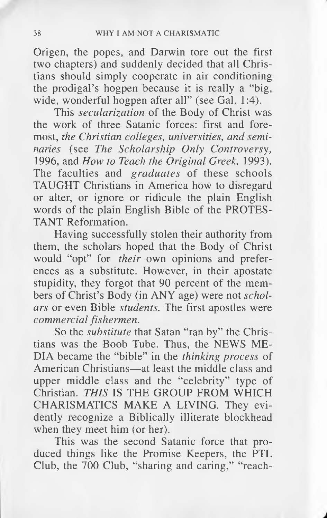Origen, the popes, and Darwin tore out the first two chapters) and suddenly decided that all Christians should simply cooperate in air conditioning the prodigal's hogpen because it is really a "big, wide, wonderful hogpen after all" (see Gal. 1:4).

This *secularization* of the Body of Christ was the work of three Satanic forces: first and foremost, *the Christian colleges, universities, and seminaries* (see *The Scholarship Only Controversy,* 1996, and *How to Teach the Original Greek,* 1993). The faculties and *graduates* of these schools TAUGHT Christians in America how to disregard or alter, or ignore or ridicule the plain English words of the plain English Bible of the PROTES-TANT Reformation.

Having successfully stolen their authority from them, the scholars hoped that the Body of Christ would "opt" for *their* own opinions and preferences as a substitute. However, in their apostate stupidity, they forgot that 90 percent of the members of Christ's Body (in ANY age) were not *scholars* or even Bible *students.* The first apostles were *commercial fishermen.*

So the *substitute* that Satan "ran by" the Christians was the Boob Tube. Thus, the NEWS ME-DIA became the "bible" in the *thinking process* of American Christians— at least the middle class and upper middle class and the "celebrity" type of Christian. *THIS* IS THE GROUP FROM WHICH CHARISMATICS MAKE A LIVING. They evidently recognize a Biblically illiterate blockhead when they meet him (or her).

This was the second Satanic force that produced things like the Promise Keepers, the PTL Club, the 700 Club, "sharing and caring," "reach-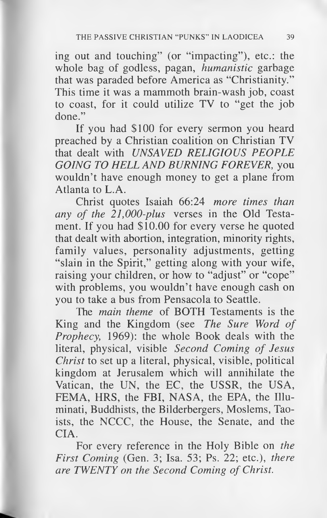ing out and touching" (or "impacting"), etc.: the whole bag of godless, pagan, *humanistic* garbage that was paraded before America as "Christianity." This time it was a mammoth brain-wash job, coast to coast, for it could utilize TV to "get the job done."

If you had \$100 for every sermon you heard preached by a Christian coalition on Christian TV that dealt with *UNSAVED RELIGIOUS PEOPLE GOING TO HELL AND BURNING FOREVER,* you wouldn't have enough money to get a plane from Atlanta to L.A.

Christ quotes Isaiah 66:24 *more times than any of the*  $21,000$ *-plus* verses in the Old Testament. If you had \$10.00 for every verse he quoted that dealt with abortion, integration, minority rights, family values, personality adjustments, getting "slain in the Spirit," getting along with your wife, raising your children, or how to "adjust" or "cope" with problems, you wouldn't have enough cash on you to take a bus from Pensacola to Seattle.

The *main theme* of BOTH Testaments is the King and the Kingdom (see *The Sure Word of Prophecy,* 1969): the whole Book deals with the literal, physical, visible *Second Coming of Jesus Christ* to set up a literal, physical, visible, political kingdom at Jerusalem which will annihilate the Vatican, the UN, the EC, the USSR, the USA, FEMA, HRS, the FBI, NASA, the EPA, the Illuminati, Buddhists, the Bilderbergers, Moslems, Taoists, the NCCC, the House, the Senate, and the CIA.

For every reference in the Holy Bible on *the First Coming* (Gen. 3; Isa. 53; Ps. 22; etc.), *there are TWENTY on the Second Coming of Christ.*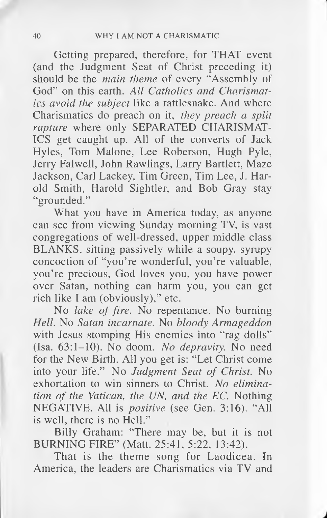Getting prepared, therefore, for THAT event (and the Judgment Seat of Christ preceding it) should be the *main theme* of every "Assembly of God" on this earth. *All Catholics and Charismatics avoid the subject* like a rattlesnake. And where Charismatics do preach on it, *they preach a split rapture* where only SEPARATED CHARISMAT-ICS get caught up. All of the converts of Jack Hyles, Tom Malone, Lee Roberson, Hugh Pyle, Jerry Falwell, John Rawlings, Larry Bartlett, Maze Jackson, Carl Lackey, Tim Green, Tim Lee, J. Harold Smith, Harold Sightler, and Bob Gray stay "grounded."

What you have in America today, as anyone can see from viewing Sunday morning TV, is vast congregations of well-dressed, upper middle class BLANKS, sitting passively while a soupy, syrupy concoction of "you're wonderful, you're valuable, you're precious, God loves you, you have power over Satan, nothing can harm you, you can get rich like I am (obviously)," etc.

No *lake of fire*. No repentance. No burning *Hell.* No *Satan incarnate.* No *bloody Armageddon* with Jesus stomping His enemies into "rag dolls" (Isa. 63:1-10). No doom. *No depravity.* No need for the New Birth. All you get is: "Let Christ come into your life." No *Judgment Seat of Christ*. No exhortation to win sinners to Christ. *No elimination of the Vatican, the UN, and the EC. Nothing* NEGATIVE. All is *positive* (see Gen. 3:16). "All is well, there is no Hell."

Billy Graham: "There may be, but it is not BURNING FIRE" (Matt. 25:41, 5:22, 13:42).

That is the theme song for Laodicea. In America, the leaders are Charismatics via TV and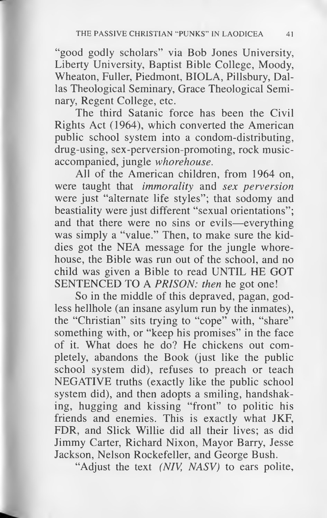"good godly scholars" via Bob Jones University, Liberty University, Baptist Bible College, Moody, Wheaton, Fuller, Piedmont, BIOLA, Pillsbury, Dallas Theological Seminary, Grace Theological Seminary, Regent College, etc.

The third Satanic force has been the Civil Rights Act (1964), which converted the American public school system into a condom-distributing, drug-using, sex-perversion-promoting, rock musicaccompanied, jungle *whorehouse.*

All of the American children, from 1964 on, were taught that *immorality* and *sex perversion* were just "alternate life styles"; that sodomy and beastiality were just different "sexual orientations"; and that there were no sins or evils— everything was simply a "value." Then, to make sure the kiddies got the NEA message for the jungle whorehouse, the Bible was run out of the school, and no child was given a Bible to read UNTIL HE GOT SENTENCED TO A *PRISON: then* he got one!

So in the middle of this depraved, pagan, godless hellhole (an insane asylum run by the inmates), the "Christian" sits trying to "cope" with, "share" something with, or "keep his promises" in the face of it. What does he do? He chickens out completely, abandons the Book (just like the public school system did), refuses to preach or teach NEGATIVE truths (exactly like the public school system did), and then adopts a smiling, handshaking, hugging and kissing "front" to politic his friends and enemies. This is exactly what JKF, FDR, and Slick Willie did all their lives; as did Jimmy Carter, Richard Nixon, Mayor Barry, Jesse Jackson, Nelson Rockefeller, and George Bush.

"Adjust the text *(NIV, NASV)* to ears polite,

 $41$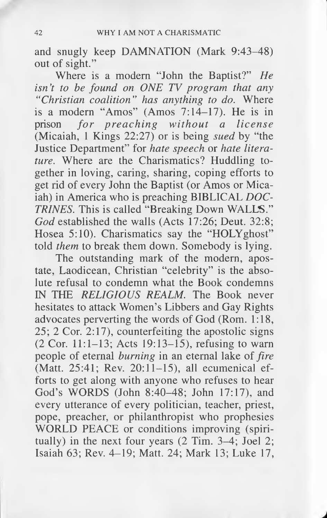and snugly keep DAMNATION (Mark 9:43-48) out of sight."

Where is a modern "John the Baptist?" *He isn't to be found on ONE TV program that any "Christian coalition" has anything to do.* Where is a modern "Amos" (Amos 7:14-17). He is in prison *for preaching without a license* (Micaiah, 1 Kings 22:27) or is being *sued* by "the Justice Department" for *hate speech* or *hate literature.* Where are the Charismatics? Huddling together in loving, caring, sharing, coping efforts to get rid of every John the Baptist (or Amos or Micaiah) in America who is preaching BIBLICAL *DOC-TRINES.* This is called "Breaking Down WALL'S." *God* established the walls (Acts 17:26; Deut. 32:8; Hosea 5:10). Charismatics say the "HOLYghost" told *them* to break them down. Somebody is lying.

The outstanding mark of the modern, apostate, Laodicean, Christian "celebrity" is the absolute refusal to condemn what the Book condemns IN THE *RELIGIOUS REALM.* The Book never hesitates to attack Women's Libbers and Gay Rights advocates perverting the words of God (Rom. 1:18, 25; 2 Cor. 2:17), counterfeiting the apostolic signs  $(2 \text{ Cor. } 11:1-13; \text{ Acts } 19:13-15)$ , refusing to warn people of eternal *burning* in an eternal lake of *fire* (Matt. 25:41; Rev. 20:11-15), all ecumenical efforts to get along with anyone who refuses to hear God's WORDS (John 8:40-48; John 17:17), and every utterance of every politician, teacher, priest, pope, preacher, or philanthropist who prophesies WORLD PEACE or conditions improving (spiritually) in the next four years  $(2 \text{ Tim. } 3-4; \text{ Joel } 2;$ Isaiah 63; Rev. 4-19; Matt. 24; Mark 13; Luke 17,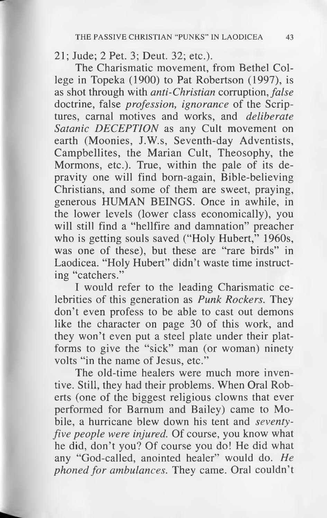21; Jude; 2 Pet. 3; Deut. 32; etc.).

The Charismatic movement, from Bethel College in Topeka (1900) to Pat Robertson (1997), is as shot through with *anti-Christian* corruption, *false* doctrine, false *profession, ignorance* of the Scriptures, carnal motives and works, and *deliberate Satanic DECEPTION* as any Cult movement on earth (Moonies, J.W.s, Seventh-day Adventists, Campbellites, the Marian Cult, Theosophy, the Mormons, etc.). True, within the pale of its depravity one will find born-again, Bible-believing Christians, and some of them are sweet, praying, generous HUMAN BEINGS. Once in awhile, in the lower levels (lower class economically), you will still find a "hellfire and damnation" preacher who is getting souls saved ("Holy Hubert," 1960s, was one of these), but these are "rare birds" in Laodicea. "Holy Hubert" didn't waste time instructing "catchers."

I would refer to the leading Charismatic celebrities of this generation as *Punk Rockers.* They don't even profess to be able to cast out demons like the character on page 30 of this work, and they won't even put a steel plate under their platforms to give the "sick" man (or woman) ninety volts "in the name of Jesus, etc."

The old-time healers were much more inventive. Still, they had their problems. When Oral Roberts (one of the biggest religious clowns that ever performed for Barnum and Bailey) came to Mobile, a hurricane blew down his tent and *seventyfive people were injured.* Of course, you know what he did, don't you? Of course you do! He did what any "God-called, anointed healer" would do. *He phoned for ambulances.* They came. Oral couldn't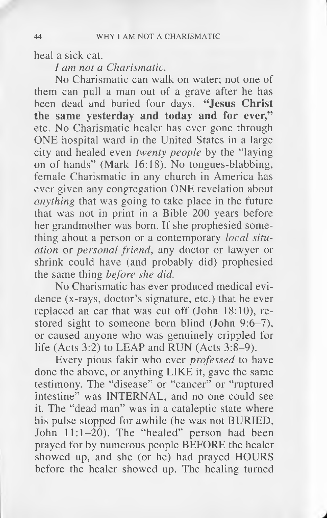heal a sick cat.

*I am not a Charismatic.*

No Charismatic can walk on water; not one of them can pull a man out of a grave after he has been dead and buried four days. "Jesus Christ the same yesterday and today and for ever," etc. No Charismatic healer has ever gone through ONE hospital ward in the United States in a large city and healed even *twenty people* by the "laying on of hands" (Mark 16:18). No tongues-blabbing, female Charismatic in any church in America has ever given any congregation ONE revelation about *anything* that was going to take place in the future that was not in print in a Bible 200 years before her grandmother was born. If she prophesied something about a person or a contemporary *local situation* or *personal friend*, any doctor or lawyer or shrink could have (and probably did) prophesied the same thing *before she did.*

No Charismatic has ever produced medical evidence (x-rays, doctor's signature, etc.) that he ever replaced an ear that was cut off (John 18:10), restored sight to someone born blind (John 9:6-7). or caused anyone who was genuinely crippled for life (Acts 3:2) to LEAP and RUN (Acts  $3:8-9$ ).

Every pious fakir who ever *professed* to have done the above, or anything LIKE it, gave the same testimony. The "disease" or "cancer" or "ruptured intestine" was INTERNAL, and no one could see it. The "dead man" was in a cataleptic state where his pulse stopped for awhile (he was not BURIED, John 11:1-20). The "healed" person had been prayed for by numerous people BEFORE the healer showed up, and she (or he) had prayed HOURS before the healer showed up. The healing turned

44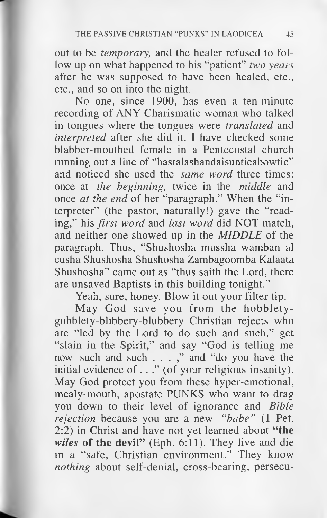45

out to be *temporary,* and the healer refused to follow up on what happened to his "patient" *two years* after he was supposed to have been healed, etc., etc., and so on into the night.

No one, since 1900, has even a ten-minute recording of ANY Charismatic woman who talked in tongues where the tongues were *translated* and *interpreted* after she did it. I have checked some blabber-mouthed female in a Pentecostal church running out a line of "hastalashandaisuntieabowtie" and noticed she used the *same word* three times:<br>once at *the beginning*, twice in the *middle* and once at *the beginning,* twice in the *middle* and once *at the end* of her "paragraph." When the "interpreter" (the pastor, naturally!) gave the "reading," his *first word* and *last word* did NOT match, and neither one showed up in the *MIDDLE* of the paragraph. Thus, "Shushosha mussha wamban al cusha Shushosha Shushosha Zambagoomba Kalaata Shushosha" came out as "thus saith the Lord, there are unsaved Baptists in this building tonight."

Yeah, sure, honey. Blow it out your filter tip.

M ay God save you from the hobbletygobblety-blibbery-blubbery Christian rejects who are "led by the Lord to do such and such," get "slain in the Spirit," and say "God is telling me now such and such . . . ," and "do you have the initial evidence of . . ." (of your religious insanity). May God protect you from these hyper-emotional, mealy-mouth, apostate PUNKS who want to drag you down to their level of ignorance and *Bible rejection* because you are a new *"babe"* (1 Pet. 2:2) in Christ and have not yet learned about "the *wiles* of the devil" (Eph. 6:11). They live and die in a "safe, Christian environment." They know *nothing* about self-denial, cross-bearing, persecu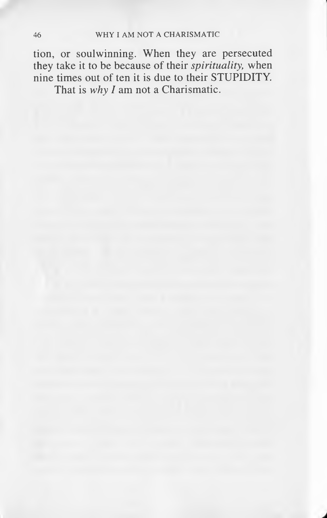tion, or soulwinning. When they are persecuted they take it to be because of their *spirituality,* when nine times out of ten it is due to their STUPIDITY. That is *why I* am not a Charismatic.

 $46$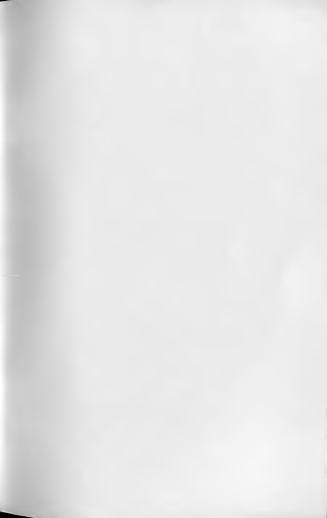